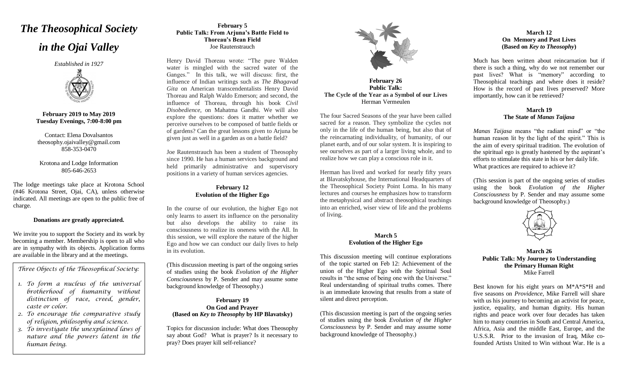# *The Theosophical Society*

# *in the Ojai Valley*

*Established in 1927*



**February 2019 to May 2019 Tuesday Evenings, 7:00-8:00 pm**

Contact: Elena Dovalsantos [theosophy.ojaivalley@gmail.com](mailto:presidentojaivalleyts@gmail.com) 858-353-0470

# Krotona and Lodge Information 805-646-2653

The lodge meetings take place at Krotona School (#46 Krotona Street, Ojai, CA), unless otherwise indicated. All meetings are open to the public free of charge.

# **Donations are greatly appreciated.**

We invite you to support the Society and its work by becoming a member. Membership is open to all who are in sympathy with its objects. Application forms are available in the library and at the meetings.

*Three Objects of the Theosophical Society:*

- *1. To form a nucleus of the universal brotherhood of humanity without distinction of race, creed, gender, caste or color.*
- *2. To encourage the comparative study of religion, philosophy and science.*
- *3. To investigate the unexplained laws of nature and the powers latent in the human being.*

# **February 5 Public Talk: From Arjuna's Battle Field to Thoreau's Bean Field** Joe Rautenstrauch

Henry David Thoreau wrote: "The pure Walden water is mingled with the sacred water of the Ganges." In this talk, we will discuss: first, the influence of Indian writings such as *The Bhagavad Gita* on American transcendentalists Henry David Thoreau and Ralph Waldo Emerson; and second, the influence of Thoreau, through his book *Civil Disobedience*, on Mahatma Gandhi. We will also explore the questions: does it matter whether we perceive ourselves to be composed of battle fields or of gardens? Can the great lessons given to Arjuna be given just as well in a garden as on a battle field?

Joe Rautenstrauch has been a student of Theosophy since 1990. He has a human services background and held primarily administrative and supervisory positions in a variety of human services agencies.

# **February 12 Evolution of the Higher Ego**

In the course of our evolution, the higher Ego not only learns to assert its influence on the personality but also develops the ability to raise its consciousness to realize its oneness with the All. In this session, we will explore the nature of the higher Ego and how we can conduct our daily lives to help in its evolution.

(This discussion meeting is part of the ongoing series of studies using the book *Evolution of the Higher Consciousness* by P. Sender and may assume some background knowledge of Theosophy.)

# **February 19 On God and Prayer (Based on** *Key to Theosophy* **by HP Blavatsky)**

Topics for discussion include: What does Theosophy say about God? What is prayer? Is it necessary to pray? Does prayer kill self-reliance?



**February 26 Public Talk: The Cycle of the Year as a Symbol of our Lives** Herman Vermeulen

The four Sacred Seasons of the year have been called sacred for a reason. They symbolize the cycles not only in the life of the human being, but also that of the reincarnating individuality, of humanity, of our planet earth, and of our solar system. It is inspiring to see ourselves as part of a larger living whole, and to realize how we can play a conscious role in it.

Herman has lived and worked for nearly fifty years at Blavatskyhouse, the International Headquarters of the Theosophical Society Point Loma. In his many lectures and courses he emphasizes how to transform the metaphysical and abstract theosophical teachings into an enriched, wiser view of life and the problems of living.

### **March 5 Evolution of the Higher Ego**

This discussion meeting will continue explorations of the topic started on Feb 12: Achievement of the union of the Higher Ego with the Spiritual Soul results in "the sense of being one with the Universe." Real understanding of spiritual truths comes. There is an immediate knowing that results from a state of silent and direct perception.

(This discussion meeting is part of the ongoing series of studies using the book *Evolution of the Higher Consciousness* by P. Sender and may assume some background knowledge of Theosophy.)

# **March 12 On Memory and Past Lives (Based on** *Key to Theosophy***)**

Much has been written about reincarnation but if there is such a thing, why do we not remember our past lives? What is "memory" according to Theosophical teachings and where does it reside? How is the record of past lives preserved? More importantly, how can it be retrieved?

## **March 19 The State of** *Manas Taijasa*

*Manas Taijasa* means "the radiant mind" or "the human reason lit by the light of the spirit." This is the aim of every spiritual tradition. The evolution of the spiritual ego is greatly hastened by the aspirant's efforts to stimulate this state in his or her daily life. What practices are required to achieve it?

(This session is part of the ongoing series of studies using the book *Evolution of the Higher Consciousness* by P. Sender and may assume some background knowledge of Theosophy.)



**March 26 Public Talk: My Journey to Understanding the Primary Human Right** Mike Farrell

Best known for his eight years on M\*A\*S\*H and five seasons on *Providence*, Mike Farrell will share with us his journey to becoming an activist for peace, justice, equality, and human dignity. His human rights and peace work over four decades has taken him to many countries in South and Central America, Africa, Asia and the middle East, Europe, and the U.S.S.R. Prior to the invasion of Iraq, Mike cofounded Artists United to Win without War. He is a